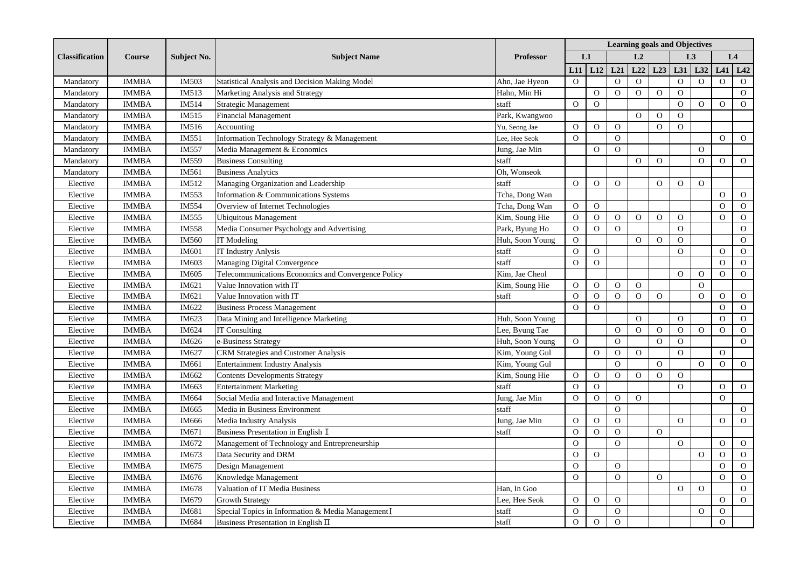| <b>Classification</b> | <b>Course</b> | <b>Subject No.</b> | <b>Subject Name</b>                                 | <b>Professor</b> | <b>Learning goals and Objectives</b> |                |                |                |                |                |                |                |                |  |
|-----------------------|---------------|--------------------|-----------------------------------------------------|------------------|--------------------------------------|----------------|----------------|----------------|----------------|----------------|----------------|----------------|----------------|--|
|                       |               |                    |                                                     |                  | L1                                   |                |                |                | L <sub>2</sub> |                | L <sub>3</sub> |                | L4             |  |
|                       |               |                    |                                                     |                  | L11                                  | L12            | L21            | L22            | L23            | L31            | L32            | L41            | L42            |  |
| Mandatory             | <b>IMMBA</b>  | IM503              | Statistical Analysis and Decision Making Model      | Ahn, Jae Hyeon   | $\overline{0}$                       |                | $\mathbf{O}$   | $\mathbf{O}$   |                | $\mathbf{O}$   | $\mathbf{O}$   | $\overline{O}$ | $\mathbf{O}$   |  |
| Mandatory             | <b>IMMBA</b>  | IM513              | Marketing Analysis and Strategy                     | Hahn, Min Hi     |                                      | $\mathbf O$    | $\mathbf O$    | $\mathbf O$    | $\mathbf O$    | $\mathbf O$    |                |                | $\mathbf{O}$   |  |
| Mandatory             | <b>IMMBA</b>  | IM514              | <b>Strategic Management</b>                         | staff            | $\Omega$                             | $\overline{O}$ |                |                |                | $\overline{O}$ | $\Omega$       | $\Omega$       | $\mathbf{O}$   |  |
| Mandatory             | <b>IMMBA</b>  | IM515              | <b>Financial Management</b>                         | Park, Kwangwoo   |                                      |                |                | $\Omega$       | $\Omega$       | $\Omega$       |                |                |                |  |
| Mandatory             | <b>IMMBA</b>  | IM516              | Accounting                                          | Yu, Seong Jae    | $\overline{O}$                       | $\overline{O}$ | $\Omega$       |                | $\Omega$       | $\Omega$       |                |                |                |  |
| Mandatory             | <b>IMMBA</b>  | IM551              | Information Technology Strategy & Management        | Lee, Hee Seok    | $\overline{O}$                       |                | $\Omega$       |                |                |                |                | $\Omega$       | $\mathbf{O}$   |  |
| Mandatory             | <b>IMMBA</b>  | <b>IM557</b>       | Media Management & Economics                        | Jung, Jae Min    |                                      | $\mathbf{O}$   | $\overline{O}$ |                |                |                | $\overline{O}$ |                |                |  |
| Mandatory             | <b>IMMBA</b>  | IM559              | <b>Business Consulting</b>                          | staff            |                                      |                |                | $\overline{O}$ | $\overline{O}$ |                | $\overline{O}$ | $\overline{O}$ | $\mathbf{O}$   |  |
| Mandatory             | <b>IMMBA</b>  | IM561              | <b>Business Analytics</b>                           | Oh, Wonseok      |                                      |                |                |                |                |                |                |                |                |  |
| Elective              | <b>IMMBA</b>  | IM512              | Managing Organization and Leadership                | staff            | $\Omega$                             | $\Omega$       | $\Omega$       |                | $\overline{O}$ | $\overline{O}$ | $\Omega$       |                |                |  |
| Elective              | <b>IMMBA</b>  | IM553              | Information & Communications Systems                | Tcha, Dong Wan   |                                      |                |                |                |                |                |                | $\Omega$       | $\mathbf{O}$   |  |
| Elective              | <b>IMMBA</b>  | IM554              | Overview of Internet Technologies                   | Tcha, Dong Wan   | $\overline{O}$                       | $\overline{O}$ |                |                |                |                |                | $\Omega$       | $\mathbf{O}$   |  |
| Elective              | <b>IMMBA</b>  | IM555              | <b>Ubiquitous Management</b>                        | Kim, Soung Hie   | $\Omega$                             | $\mathbf{O}$   | $\Omega$       | $\Omega$       | $\Omega$       | $\Omega$       |                | $\Omega$       | $\mathbf{O}$   |  |
| Elective              | <b>IMMBA</b>  | IM558              | Media Consumer Psychology and Advertising           | Park, Byung Ho   | $\mathbf O$                          | $\mathbf O$    | $\overline{O}$ |                |                | $\mathbf O$    |                |                | ${\rm O}$      |  |
| Elective              | <b>IMMBA</b>  | IM560              | IT Modeling                                         | Huh, Soon Young  | $\mathbf O$                          |                |                | $\overline{O}$ | $\overline{O}$ | $\overline{O}$ |                |                | $\overline{O}$ |  |
| Elective              | <b>IMMBA</b>  | <b>IM601</b>       | <b>IT Industry Anlysis</b>                          | staff            | $\mathbf O$                          | $\overline{O}$ |                |                |                | ${\rm O}$      |                | $\Omega$       | $\overline{O}$ |  |
| Elective              | <b>IMMBA</b>  | IM603              | Managing Digital Convergence                        | staff            | $\Omega$                             | $\overline{O}$ |                |                |                |                |                | $\Omega$       | $\mathbf{O}$   |  |
| Elective              | <b>IMMBA</b>  | IM605              | Telecommunications Economics and Convergence Policy | Kim. Jae Cheol   |                                      |                |                |                |                | $\Omega$       | $\mathbf{O}$   | $\Omega$       | $\mathbf{O}$   |  |
| Elective              | <b>IMMBA</b>  | IM621              | Value Innovation with IT                            | Kim, Soung Hie   | $\mathbf{O}$                         | $\mathbf{O}$   | $\overline{O}$ | $\overline{O}$ |                |                | $\overline{O}$ |                |                |  |
| Elective              | <b>IMMBA</b>  | IM621              | Value Innovation with IT                            | staff            | $\overline{O}$                       | $\overline{O}$ | $\Omega$       | $\Omega$       | $\Omega$       |                | $\Omega$       | $\Omega$       | $\mathbf{O}$   |  |
| Elective              | <b>IMMBA</b>  | IM622              | <b>Business Process Management</b>                  |                  | $\Omega$                             | $\overline{O}$ |                |                |                |                |                | $\overline{O}$ | $\mathbf{O}$   |  |
| Elective              | <b>IMMBA</b>  | IM623              | Data Mining and Intelligence Marketing              | Huh, Soon Young  |                                      |                |                | $\overline{O}$ |                | $\overline{O}$ |                | $\Omega$       | $\mathbf{O}$   |  |
| Elective              | <b>IMMBA</b>  | IM624              | <b>IT Consulting</b>                                | Lee, Byung Tae   |                                      |                | $\overline{O}$ | $\overline{O}$ | $\Omega$       | $\overline{O}$ | $\overline{O}$ | $\Omega$       | $\mathcal{O}$  |  |
| Elective              | <b>IMMBA</b>  | IM626              | e-Business Strategy                                 | Huh, Soon Young  | $\Omega$                             |                | $\Omega$       |                | $\Omega$       | $\overline{O}$ |                |                | $\overline{O}$ |  |
| Elective              | <b>IMMBA</b>  | IM627              | CRM Strategies and Customer Analysis                | Kim, Young Gul   |                                      | $\mathbf O$    | $\Omega$       | $\Omega$       |                | $\overline{O}$ |                | $\Omega$       |                |  |
| Elective              | <b>IMMBA</b>  | IM661              | <b>Entertainment Industry Analysis</b>              | Kim, Young Gul   |                                      |                | $\mathbf{O}$   |                | $\overline{O}$ |                | $\overline{O}$ | $\overline{O}$ | $\mathbf{O}$   |  |
| Elective              | <b>IMMBA</b>  | IM662              | <b>Contents Developments Strategy</b>               | Kim, Soung Hie   | $\mathbf{O}$                         | $\mathcal O$   | $\mathbf{O}$   | $\Omega$       | $\Omega$       | $\mathbf{O}$   |                |                |                |  |
| Elective              | <b>IMMBA</b>  | IM663              | <b>Entertainment Marketing</b>                      | staff            | $\mathbf{O}$                         | $\mathbf{O}$   |                |                |                | $\mathbf{O}$   |                | $\Omega$       | $\mathbf{O}$   |  |
| Elective              | <b>IMMBA</b>  | IM664              | Social Media and Interactive Management             | Jung, Jae Min    | $\mathbf{O}$                         | $\mathbf{O}$   | $\Omega$       | $\Omega$       |                |                |                | $\Omega$       |                |  |
| Elective              | <b>IMMBA</b>  | IM665              | Media in Business Environment                       | staff            |                                      |                | $\mathbf{O}$   |                |                |                |                |                | $\mathbf{O}$   |  |
| Elective              | <b>IMMBA</b>  | IM666              | Media Industry Analysis                             | Jung, Jae Min    | $\overline{O}$                       | $\mathbf{O}$   | $\Omega$       |                |                | $\Omega$       |                | $\Omega$       | $\overline{O}$ |  |
| Elective              | <b>IMMBA</b>  | IM671              | Business Presentation in English I                  | staff            | $\overline{O}$                       | $\Omega$       | $\Omega$       |                | $\Omega$       |                |                |                |                |  |
| Elective              | <b>IMMBA</b>  | IM672              | Management of Technology and Entrepreneurship       |                  | $\overline{O}$                       |                | $\Omega$       |                |                | $\overline{O}$ |                | $\Omega$       | $\mathbf{O}$   |  |
| Elective              | <b>IMMBA</b>  | IM673              | Data Security and DRM                               |                  | $\Omega$                             | $\mathbf O$    |                |                |                |                | $\overline{O}$ | $\Omega$       | $\mathbf{O}$   |  |
| Elective              | <b>IMMBA</b>  | IM675              | Design Management                                   |                  | $\mathbf O$                          |                | $\Omega$       |                |                |                |                | $\overline{O}$ | $\mathbf{O}$   |  |
| Elective              | <b>IMMBA</b>  | IM676              | Knowledge Management                                |                  | $\Omega$                             |                | $\Omega$       |                | $\Omega$       |                |                | $\Omega$       | ${\rm O}$      |  |
| Elective              | <b>IMMBA</b>  | IM678              | Valuation of IT Media Business                      | Han. In Goo      |                                      |                |                |                |                | $\overline{O}$ | $\Omega$       |                | $\mathbf{O}$   |  |
| Elective              | <b>IMMBA</b>  | IM679              | <b>Growth Strategy</b>                              | Lee, Hee Seok    | $\overline{O}$                       | $\overline{O}$ | $\Omega$       |                |                |                |                | $\Omega$       | $\overline{O}$ |  |
| Elective              | <b>IMMBA</b>  | IM681              | Special Topics in Information & Media Management I  | staff            | $\overline{O}$                       |                | $\overline{O}$ |                |                |                | $\Omega$       | $\Omega$       |                |  |
| Elective              | <b>IMMBA</b>  | IM684              | Business Presentation in English $\Pi$              | staff            | $\Omega$                             | $\Omega$       | $\Omega$       |                |                |                |                | $\Omega$       |                |  |